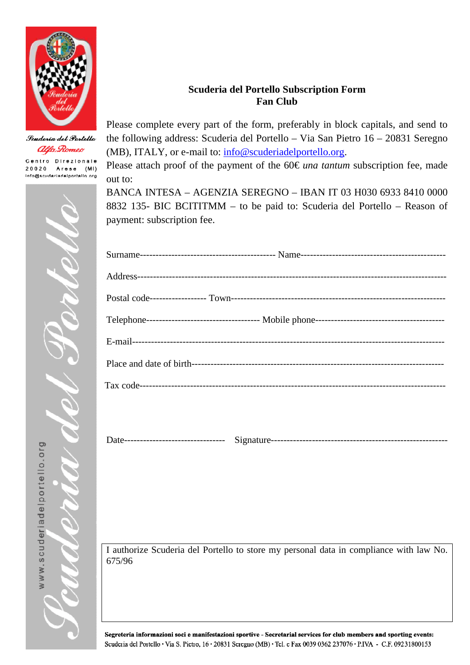

*Scuderia del Portello alfa.Romeo* Centro Direzionale 20020 Arese (MI) info@scuderiadelportello.org



## **Scuderia del Portello Subscription Form Fan Club**

Please complete every part of the form, preferably in block capitals, and send to the following address: Scuderia del Portello – Via San Pietro 16 – 20831 Seregno (MB), ITALY, or e-mail to: [info@scuderiadelportello.org](mailto:info@scuderiadelportello.org).

Please attach proof of the payment of the 60€ *una tantum* subscription fee, made out to:

BANCA INTESA – AGENZIA SEREGNO – IBAN IT 03 H030 6933 8410 0000 8832 135- BIC BCITITMM – to be paid to: Scuderia del Portello – Reason of payment: subscription fee.

Date-------------------------------- Signature--------------------------------------------------------

I authorize Scuderia del Portello to store my personal data in compliance with law No. 675/96

Segreteria informazioni soci e manifestazioni sportive - Secretarial services for club members and sporting events: Scuderia del Portello · Via S. Pietro, 16 · 20831 Seregno (MB) · Tel. e Fax 0039 0362 237076 · P.IVA - C.F. 09231800153